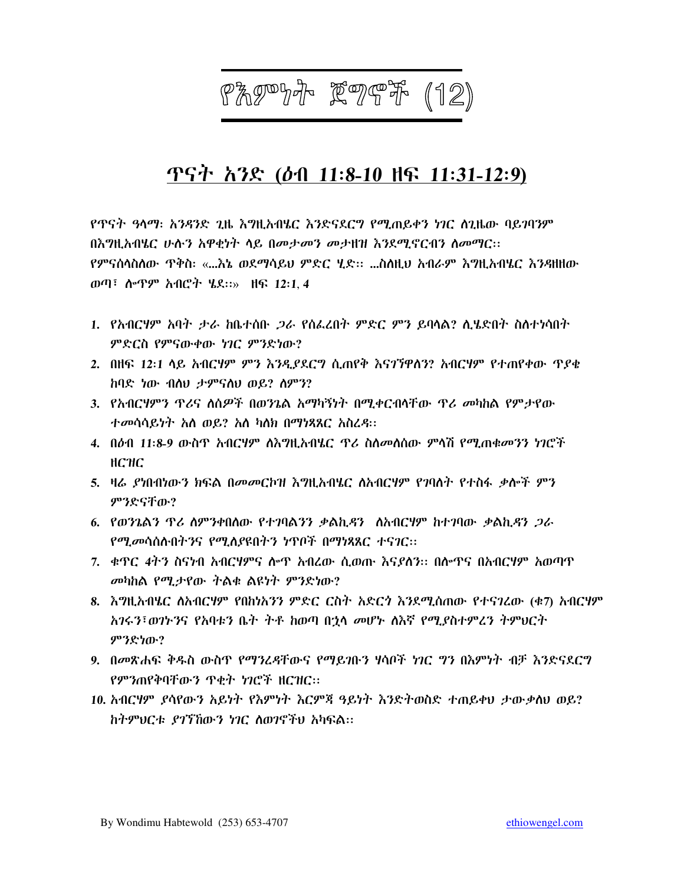# 87997 F967 (12)

# ጥናት አንድ (ዕብ 11:8-10 ዘፍ 11:31-12:9)

የጥናት ዓላማ፡ አንዳንድ ጊዜ እግዚአብሄር እንድናደርግ የሚጠይቀን ነገር ስጊዜው ባይገባንም በእግዚአብሄር ሁስን አዋቂነት ላይ በመታመን መታዘዝ እንደሚኖርብን ስመማር። የምናሰላስለው ጥቅስ፡ «...እኔ ወደማሳይህ ምድር ሂድ፡፡ ...ስለዚህ አብራም እግዚአብሄር እንዳዘዘው ወጣ፣ ሎጥም አብሮት ሄደ::» ዘፍ 12:1.4

- 1. የአብርሃም አባት ታራ ከቤተሰቡ *ጋ*ራ የሰፌረበት ምድር ምን ይባላል? ሲሄድበት ስስተነሳበት ምድርስ የምናውቀው ነገር ምንድነው?
- 2. በዘፍ 12፡1 ላይ አብርሃም ምን እንዲያደርግ ሲጠየቅ እናገኘዋስን? አብርሃም የተጠየቀው ጥያቄ ከባድ ነው ብስህ ታምናስህ ወይ? ስምን?
- 3. የአብርሃምን ጥሪና ስስዎች በወንጌል አማካኝነት በሚቀርብላቸው ጥሪ መካከል የምታየው ተመሳሳይነት አስ ወይ? አስ ካለክ በማነጻጸር አስረዳ፡፡
- 4. በዕብ 11:8-9 ውስጥ አብርሃም ለእግዚአብሄር ጥሪ ስለመለሰው ምላሽ የሚጠቁመንን ነገሮች  $HC$ H $C$
- 5. ዛሬ ያነበብነውን ክፍል በመመርኮዝ እግዚአብሄር ስአብርሃም የገባለት የተስፋ ቃሎች ምን ምንድናቸው?
- 6. የወንጌልን ዋሪ ስምንቀበሰው የተገባልንን ቃልኪዳን ለአብርሃም ከተገባው ቃልኪዳን *ጋ*ራ የሚመሳሰሉበትንና የሚለያዩበትን ነጥቦች በማነጻጸር ተናገር፡፡
- 7. ቀዋር 4ትን ስናነብ አብርሃምና ሎዋ አብረው ሲወጡ እናያለን፡፡ በሎዋና በአብርሃም አወጣዋ መካከል የሚታየው ትልቁ ልዩነት ምንድነው?
- 8. እግዚአብሄር ስአብርሃም የበከነአንን ምድር ርስት አድርጎ እንደሚሰጠው የተናገረው (ቁ7) አብርሃም አገሩን፣ወገኑንና የአባቱን ቤት ትቶ ከወጣ በኋላ መሆኑ ለእኛ የሚያስተምረን ትምህርት ምንድነው?
- 9. በመጽሐፍ ቅዱስ ውስጥ የማንሬዳቸውና የማይንቡን ሃሳቦች ነገር ግን በእምነት ብቻ እንድናደርግ የምንጠየቅባቸውን ጥቂት ነገሮች ዘርዝር።
- 10. አብርሃም ያሳየውን አይነት የእምነት እርምጃ ዓይነት እንድትወስድ ተጠይቀህ ታውቃለህ ወይ? ከትምህርቱ ያገኘኸውን ነገር ስወገኖችህ አካፍል፡፡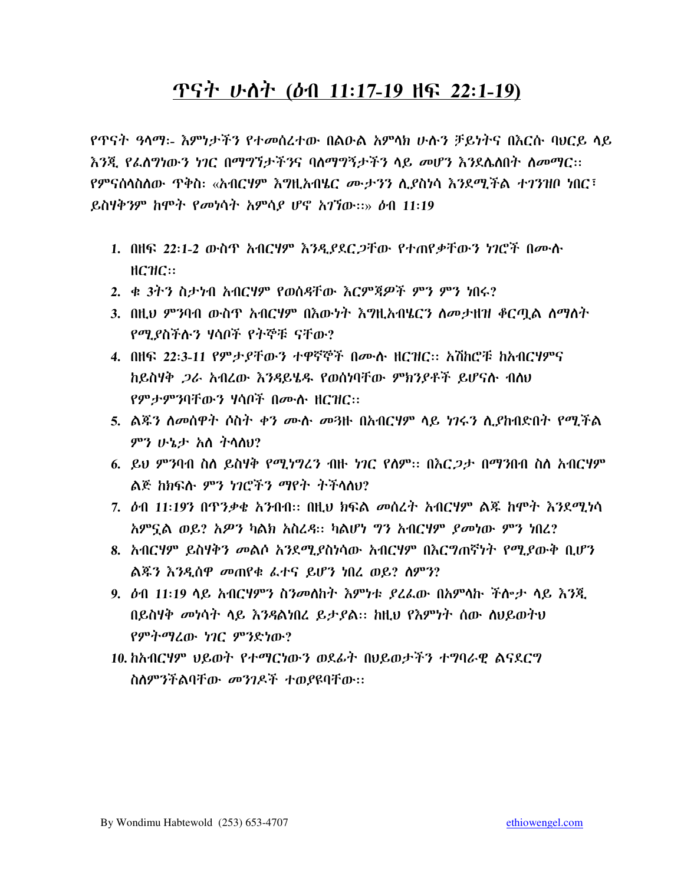## ጥናት ሁለት (ዕብ 11:17-19 ዘፍ 22:1-19)

የጥናት *ዓ*ላማ፡- እምነታችን የተመሰረተው በልዑል አምላክ ሁሉን ቻይነትና በእርሱ ባህርይ ላይ እንጂ የፌስግነውን ነገር በማግኘታችንና ባስማግኝታችን ላይ መሆን እንደሌስበት ስመማር፡፡ የምናሰሳስስው ጥቅስ፡ «አብርሃም እግዚአብሄር *ሙታንን* ሲያስነሳ እንደሚችል ተገንዝቦ ነበር፣ ይስሃቅንም ከሞት የመነሳት አምሳያ ሆኖ አገኘው::» ዕብ 11:19

- 1. በዘፍ 22:1-2 ውስጥ አብርሃም እንዲያደር ጋቸው የተጠየቃቸውን ነገሮች በሙሉ  $HCHC::$
- 2. ቁ 3ትን ስታነብ አብርሃም የወሰዳቸው እርምጀዎች ምን ምን ነበሩ?
- 3. በዚህ ምንባብ ውስዋ አብርሃም በእውነት እግዚአብሄርን ለመታዘዝ ቆርጧል ለማለት የሚያስችሉን ሃሳቦች የትኞቹ ናቸው?
- 4. በዘፍ 22:3-11 የምታያቸውን ተዋኛኞች በሙሉ ዘርዝር:: አሽከሮቹ ከአብርሃምና ከይስሃቅ *ጋራ* አብረው *እንዳ*ይሄዱ የወሰነባቸው ምክንያቶች ይሆናሉ ብስህ የምታምንባቸውን ሃሳቦች በሙሱ ዘርዝር።
- 5. ልጁን ስመስዋት ሶስት ቀን ሙሉ መጓዙ በአብርሃም ላይ ነገሩን ሊያከብድበት የሚችል ምን ሁኔታ አስ ትሳስሀ?
- 6. ይህ ምንባብ ስለ ይስሃቅ የሚነግረን ብዙ ነገር የሰም፡፡ በእር*ጋታ* በማንበብ ስለ አብርሃም ልጅ ከክፍሉ ምን ነገሮችን ማየት ትችላለህ?
- 7. ዕብ 11:19ን በጥንቃቄ አንብብ፡፡ በዚህ ክፍል መሰረት አብርሃም ልጁ ከሞት እንደሚነሳ *አ*ምኗል ወይ? *አዎን* ካልክ አስረዳ። ካልሆነ ግን አብርሃም *ያመነ*ው ምን ነበረ?
- 8. አብርሃም ይስሃቅን መልሶ አንደሚያስነሳው አብርሃም በእርግጠኛነት የሚያውቅ ቢሆን ልጁን እንዲሰዋ መጠየቁ ፌተና ይሆን ነበረ ወይ? ስምን?
- 9. ዕብ 11፡19 ሳይ አብርሃምን ስንመለከት እምነቱ ያረፌው በአምሳኩ ችሎታ ሳይ እንጂ በይስሃቅ መነሳት ሳይ እንዳልነበረ ይታያል። ከዚህ የእምነት ሰው ስህይወትህ የምትማሬው ነገር ምንድነው?
- 10. ከአብርሃም ህይወት የተማርነውን ወደፊት በህይወታችን ተግባራዊ ልናደርግ ስለምንችልባቸው መንገዶች ተወያዩባቸው፡፡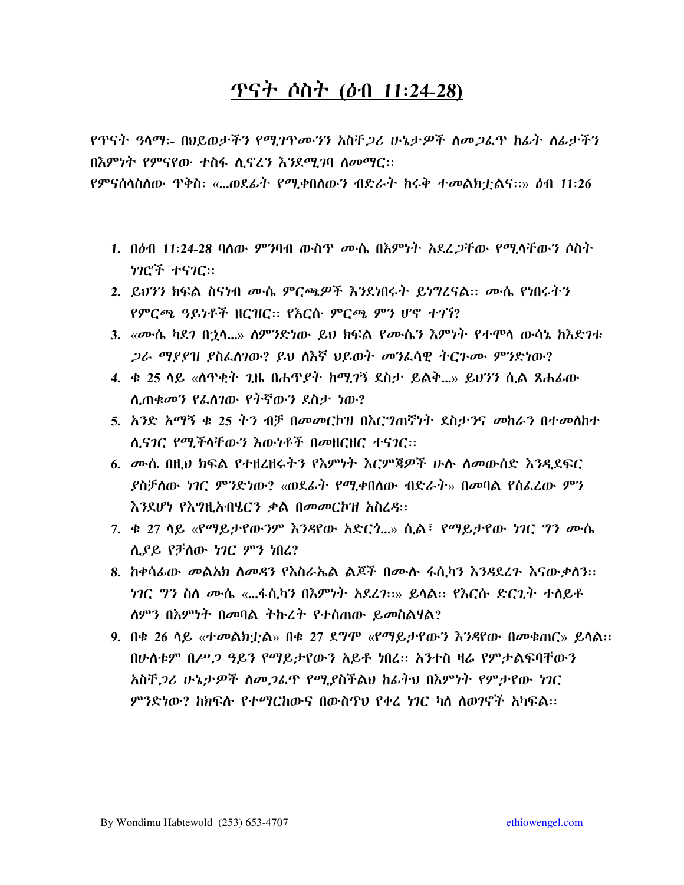## <u> ዋናት ሶስት (ዕብ 11:24-28)</u>

የጥናት ዓላማ፡- በህይወታችን የሚገጥሙንን አስቸ*ጋ*ሪ ሁኔታዎች ለመ*ጋ*ፌጥ ከፊት ለፊታችን በእምነት የምናየው ተስፋ ሲኖረን እንደሚገባ ስመማር፡፡

የምናሰሳስስው ጥቅስ፡ «...ወደፊት የሚቀበስውን ብድራት ከሩቅ ተመልክቷልና።» ዕብ 11፡26

- 1. በዕብ 11:24-28 ባለው ምንባብ ውስጥ *ሙ*ሴ በ<u>አም</u>ነት አደረ*ጋ*ቸው የሚላቸውን ሶስት ነገሮች ተናገር።
- 2. ይህንን ክፍል ስናነብ ሙሴ ምርጫዎች እንደነበሩት ይነግረናል፡፡ ሙሴ የነበሩትን የምርጫ ዓይነቶች ዘርዝር። የእርሱ ምርጫ ምን ሆኖ ተገኘ?
- 3. «ሙሴ ካደን በኃላ...» ስምንድነው ይህ ክፍል የሙሴን እምነት የተሞላ ውሳኔ ከእድንቱ *ጋራ ማያያዝ ያ*ስፈለገው? ይህ ስእኛ ህይወት *መን*ፈሳዊ ትርጉሙ ምንድነው?
- 4. ቀ 25 ሳይ «ሰጥቂት ጊዜ በሐጥያት ከሚገኝ ደስታ ይልቅ...» ይህንን ሲል ጸሐፊው ሲጠቁመን የፌስገው የትኛውን ደስታ ነው?
- 5. አንድ አማኝ ቁ 25 ትን ብቻ በመመርኮዝ በእርግጠኛነት ደስታንና መከራን በተመለከተ ለ.ናንር የሚችላቸውን እውነቶች በመዘርዘር ተናንር::
- 6. ሙሴ በዚህ ክፍል የተዘረዘሩትን የእምነት እርምጃዎች ሁሉ ስመውሰድ እንዲደፍር ያስቻለው *ነገር ምን*ድነው? «ወደፊት የሚቀበለው ብድራት» በመባል የሰፌረው ምን እንደሆነ የእግዚአብሄርን ቃል በመመርኮዝ አስረዳ::
- 7. ቁ 27 ሳይ «የማይታየውንም እንዳየው አድርጎ...» ሲል፣ የማይታየው ነገር ግን ሙሴ ሲያይ የቻስው ነገር ምን ነበረ?
- 8. ከቀሳፊው መልአክ ስመዳን የእስራኤል ልጆች በሙሱ ፋሲካን እንዳደረጉ እናውቃስን፡፡ *ነገር ግን* ስለ *ሙ*ሴ «...ፋሲካን በእምነት አደረገ።» ይሳል። የእርሱ ድርጊት ተለይቶ ለምን በእምነት በመባል ትኩረት የተሰጠው ይመስልሃል?
- 9. በቁ 26 ሳይ «ተመልክቷል» በቁ 27 ደግሞ «የማይታየውን እንዳየው በመቁጠር» ይሳል። በሁስቱም በሥ*ጋ ዓ*ይን የማይታየውን አይቶ ነበረ። አንተስ ዛሬ የምታልፍባቸውን አስቸ*ጋ*ሪ ሁኔታ*ዎች ስሙጋ*ፌዋ የሚያስችልህ ከፊትህ በእምነት የምታየው *ነገ*ር ምንድነው? ከክፍሱ የተማርከውና በውስጥሀ የቀረ ነገር ካስ ስወገኖች አካፍል።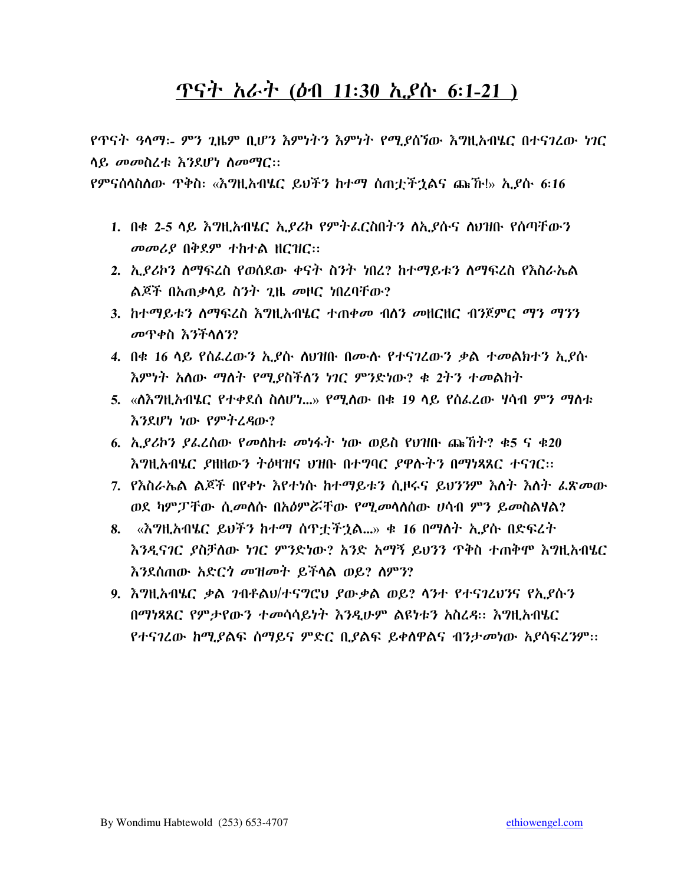## <u> ዋናት አራት (ዕብ 11:30 ኢያሱ 6:1-21 )</u>

የጥናት ዓላማ፡- ምን ጊዜም ቢሆን እምነትን እምነት የሚያስኘው እግዚአብሄር በተናገረው ነገር ሳይ መመስረቱ እንደሆነ ስመማር::

- 1. በቁ 2-5 ላይ እግዚአብሄር ኢያሪኮ የምትፌርስበትን ስኢያሱና ስህዝቡ የሰጣቸውን መመሪያ በቅደም ተከተል ዘርዝር::
- 2. ኢያሪኮን ስማፍረስ የወሰደው ቀናት ስንት ነበረ? ከተማይቱን ስማፍረስ የእስራኤል ልጆች በአጠቃላይ ስንት ጊዜ መዞር ነበረባቸው?
- 3. ከተማይቱን ሰማፍረስ እግዚአብሄር ተጠቀመ ብሰን መዘርዘር ብንጀምር ማን ማንን መጥቀስ እንችላለን?
- 4. በቁ 16 ላይ የሰፌረውን ኢያሱ ስህዝቡ በሙሉ የተናገረውን ቃል ተመልክተን ኢያሱ እምነት አለው ማለት የሚያስችለን ነገር ምንድነው? ቁ 2ትን ተመልከት
- 5. «ስእግዚአብሄር የተቀደሰ ስስሆነ...» የሚሰው በቁ 19 ሳይ የሰፌረው ሃሳብ ምን ማስቱ እንደሆነ ነው የምትረዳው?
- 6.  $\alpha$ . ይሪኮን ያፌረሰው የመሰከቱ መነፋት ነው ወይስ የህዝቡ ጩኸት? ቁ5 ና ቁ20 እግዚአብሄር ያዘዘውን ትዕዛዝና ህዝቡ በተግባር ያዋሉትን በማነጻጸር ተናገር::
- 7. የእስራኤል ልጆች በየቀኑ እየተነሱ ከተማይቱን ሲዞሩና ይህንንም እስት እስት ፌጽመው ወደ ካምፓቸው ሲመስሱ በአዕምሯቸው የሚመሳስሰው ሀሳብ ምን ይመስልዛል?
- 8. «እግዚአብሄር ይህችን ከተማ ሰጥቷችኋል...» ቁ 16 በማስት ኢያሱ በድፍረት እንዲናገር ደስቻለው ነገር ምንድነው? አንድ አማኝ ይህንን ዋቅስ ተጠቅሞ እግዚአብሄር እንደሰጠው አድርጎ መዝመት ይችላል ወይ? ስምን?
- 9. እግዚአብሄር ቃል ንብቶልህ/ተናግሮህ ያውቃል ወይ? ላንተ የተናገረህንና የኢያሱን በማነጻጸር የምታየውን ተመሳሳይነት እንዲሁም ልዩነቱን አስረዳ። እግዚአብሄር የተናገረው ከሚደልፍ ስማይና ምድር ቢደልፍ ይቀስዋልና ብንታመነው አደሳፍረንም።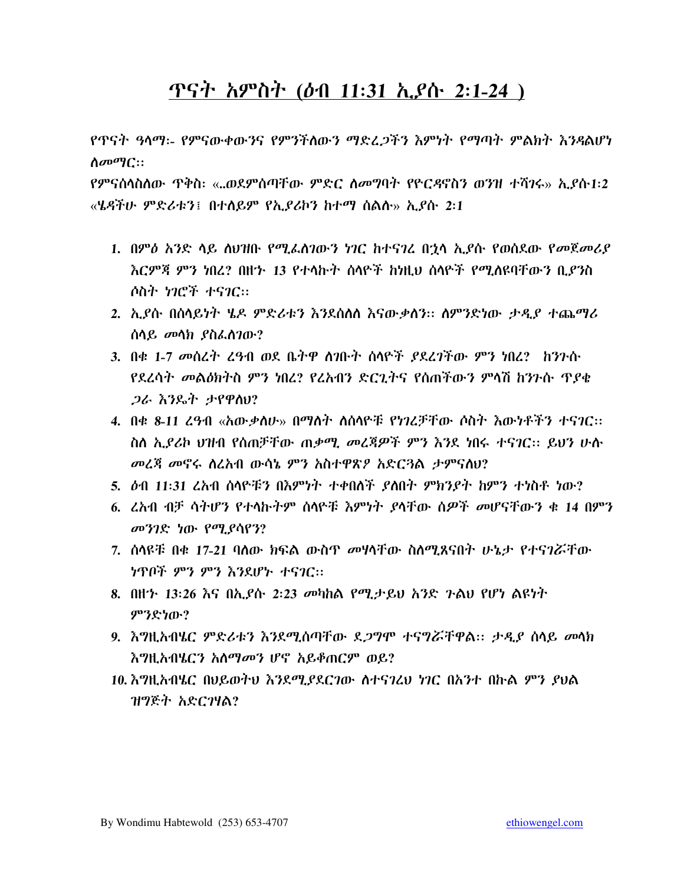# <u> ዋናት አምስት (ዕብ 11:31 ኢያሱ 2:1-24 )</u>

የጥናት ዓላማ፡- የምናውቀውንና የምንችለውን ማድፈጋችን እምነት የማጣት ምልክት እንዳልሆነ  $\Lambda \sigma \sigma \eta C$ ::

የምናሰላስስው ጥቅስ፡ «..ወደምሰጣቸው ምድር ስመግባት የዮርዳኖስን ወንዝ ተሻንሩ» ኢ*ያ*ሱ1፡2 «ሄዳችሁ ምድሪቱን፤ በተሰይም የኢ*ያ*ሪኮን ከተማ ሰልሱ» ኢያሱ 2:1

- 1. በምዕ አንድ ላይ ስህዝቡ የሚፌስገውን ነገር ከተናገረ በጎላ ኢደሱ የወሰደው የመጀመሪያ እርምጃ ምን ነበረ? በዘኅ 13 የተላኩት ሰላዮች ከነዚህ ሰላዮች የሚለዩባቸውን ቢደንስ ሶስት ነገሮች ተናገር።
- 2. ኢያሱ በሰላይነት ሄዶ ምድሪቱን እንደሰለሰ እናውቃለን። ስምንድነው ታዲያ ተጨማሪ ሰላይ መላክ ያስፌስገው?
- 3. በቁ 1-7 መሰረት ረዓብ ወደ ቤትዋ ስንቡት ሰላዮች ያደረገችው ምን ነበረ? ከንጉሱ የደረሳት መልዕክትስ ምን ነበረ? የረአብን ድርጊትና የሰጠችውን ምላሽ ከንጉሱ ጥያቁ *ጋራ እን*ዴት ታየዋስሀ?
- 4. በቁ 8-11 ረ*ዓላ*በ «አው*ቃ*ስሁ» በማስት ስስሳዮቹ የነገረቻቸው ሶስት እውነቶችን ተናገር። ስለ ኢያሪኮ ህዝብ የሰጠቻቸው ጠቃሚ መረጃዎች ምን እንደ ነበሩ ተናገር። ይህን ሁሉ መረጃ መኖሩ ስረአብ ውሳኔ ምን አስተዋጽዖ አድርጓል ታምናሰሀ?
- 5. ዕብ 11:31 ረአብ ሰላዮቹን በእምነት ተቀበለች ያለበት ምክንያት ከምን ተነስቶ ነው?
- 6. ፈአብ ብቻ ሳትሆን የተላኩትም ሰላዮቹ እምነት ያላቸው ሰዎች መሆናቸውን ቁ 14 በምን መንገድ ነው የሚያሳየን?
- 7. ሰላዩቹ በቁ 17-21 ባለው ክፍል ውስጥ መሃላቸው ስለሚጸናበት ሁኔታ የተናገሯቸው ነጥቦች ምን ምን እንደሆኑ ተናገር።
- 8. በዘን 13:26 እና በኢያሱ 2:23 መካከል የሚታይህ አንድ ንልህ የሆነ ልዩነት ምንድነው?
- 9. እግዚአብሄር ምድሪቱን እንደሚሰጣቸው ደ*ጋግ*ሞ ተናግሯቸዋል። ታ*ዲ*ያ ሰላይ መላክ እግዚአብሄርን አለማመን ሆኖ አይቆጠርም ወይ?
- 10. እግዚአብሄር በሀይወተህ እንደሚያደርገው ስተናገረህ ነገር በአንተ በኩል ምን ያህል ዝግጅት አድርገዛል?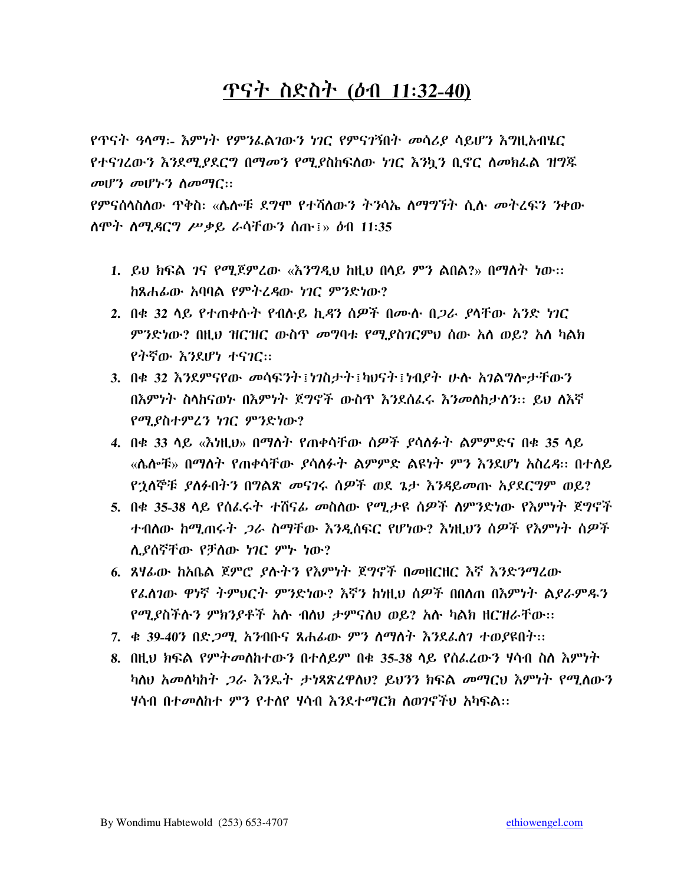# <u>ጥናት ስድስት (ዕብ 11:32-40)</u>

የጥናት ዓላማ፡- እምነት የምንፌልገውን ነገር የምናገኝበት መሳሪያ ሳይሆን እግዚአብሄር የተናገረውን እንደሚያደርግ በማመን የሚያስከፍለው ነገር እንኳን ቢኖር ለመክፌል ዝግጁ  $\omega$ <sub>1</sub> $\gamma$   $\omega$ <sub>1</sub> $\gamma$ <sub>2</sub>  $\lambda$  $\omega$ <sup> $\omega$ </sup><sub>1</sub> $\omega$ :

የምናሰላስስው ጥቅስ፡ «ሴሎቹ ደግሞ የተሻለውን ትንሳኤ ስማግኘት ሲሉ *መ*ትረፍን ንቀው ስሞት ስሚዳርግ ሥቃይ ራሳቸውን ሰጡ፤» ዕብ 11:35

- 1. ይህ ክፍል *ገ*ና የሚጀምረው «እንግዲህ ከዚህ በላይ ምን ልበል?» በማስት ነው። ከጸሐፊው አባባል የምትረዳው ነገር ምንድነው?
- 2. በቁ 32 ሳይ የተጠቀሱት የብሱይ ኪዳን ሰዎች በሙሱ በ*ጋራ ያ*ሳቸው *አ*ንድ *ነገ*ር *ምን*ድነው? በዚህ ዝርዝር ውስዋ *መግ*ባቱ የሚ*ያ*ስገርምህ ሰው አለ ወይ? አለ ካልክ የትኛው እንደሆነ ተናገር።
- 3. በቁ 32 እንደምናየው መሳፍንት፤ነንስታት፤ካህናት፤ነብደት ሁሉ አንልግሎታቸውን በእምነት ስላከናወኑ በእምነት ጀግኖች ውስጥ እንደሰፌሩ እንመስከታሰን፡፡ ይህ ስእኛ የሚያስተምረን ነገር ምንድነው?
- 4. በቁ 33 ሳይ «እነዚህ» በማስት የጠቀሳቸው ሰዎች ያሳስፉት ልምምድና በቁ 35 ሳይ «ሌሎቹ» በማስት የጠቀሳቸው *ያ*ሳስፉት ልምምድ ልዩነት ምን እንደሆነ አስረዳ። በተለይ የኋለኞቹ ያስፉበትን በግልጽ መናገሩ ሰዎች ወደ ጌታ እንዳይመጡ አያደርግም ወይ?
- 5. በቁ 35-38 ሳይ የሰፌሩት ተሸናፊ መስለው የሚታዩ ሰዎች ለምንድነው የእምነት ጀግኖች ተብለው ከሚጠሩት *ጋ*ራ ስማቸው እንዲሰፍር የሆነው? እነዚህን ስዎች የእምነት ሰዎች ሲያሰኛቸው የቻለው ነገር ምኑ ነው?
- 6. ጸዛራው ከአቤል ጀምሮ ያሉትን የእምነት ጀግኖች በመዘርዘር እኛ እንድንማረው የፌስገው ዋነኛ ትምህርት ምንድነው? እኛን ከነዚህ ስዎች በበስጠ በእምነት ልደራምዱን የሚያስችሱን ምክንያቶች አሱ ብስህ ታምናስህ ወይ? አሱ ካልክ ዘርዝራቸው።
- 7. ቋ 39-40ን በድ*ጋሚ.* አንብቡና ጸሐፊው *ምን* ስማስት እንደፈስን ተወ*ያ*ዩበት።
- 8. በዚህ ክፍል የምትመሰከተውን በተሰይም በቁ 35-38 ላይ የሰፌሬውን ሃሳብ ስለ እምነት ካስህ አመሰካከት *ጋ*ራ እንዴት ታነጻጽረዋስህ? ይህንን ክፍል መማርህ እምነት የሚለውን ሃሳብ በተመለከተ ምን የተለየ ሃሳብ እንደተማርክ ለወንኖችህ አካፍል።